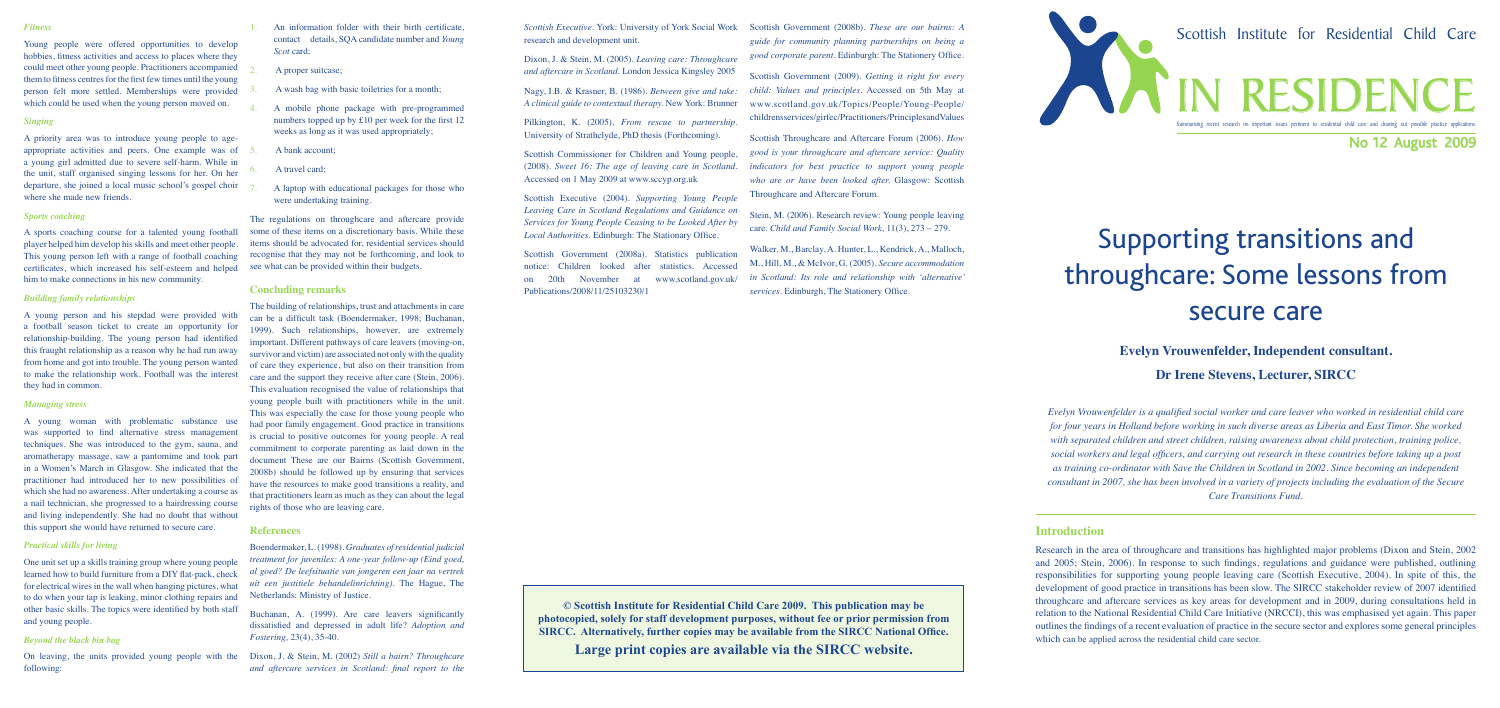# Supporting transitions and throughcare: Some lessons from secure care

# **Evelyn Vrouwenfelder, Independent consultant.**

# **Dr Irene Stevens, Lecturer, SIRCC**

Research in the area of throughcare and transitions has highlighted major problems (Dixon and Stein, 2002 and 2005; Stein, 2006). In response to such findings, regulations and guidance were published, outlining responsibilities for supporting young people leaving care (Scottish Executive, 2004). In spite of this, the development of good practice in transitions has been slow. The SIRCC stakeholder review of 2007 identified throughcare and aftercare services as key areas for development and in 2009, during consultations held in relation to the National Residential Child Care Initiative (NRCCI), this was emphasised yet again. This paper outlines the findings of a recent evaluation of practice in the secure sector and explores some general principles which can be applied across the residential child care sector.

*Evelyn Vrouwenfelder is a qualified social worker and care leaver who worked in residential child care for four years in Holland before working in such diverse areas as Liberia and East Timor. She worked with separated children and street children, raising awareness about child protection, training police, social workers and legal officers, and carrying out research in these countries before taking up a post as training co-ordinator with Save the Children in Scotland in 2002. Since becoming an independent consultant in 2007, she has been involved in a variety of projects including the evaluation of the Secure Care Transitions Fund.*

# **Introduction**

**© Scottish Institute for Residential Child Care 2009. This publication may be photocopied, solely for staff development purposes, without fee or prior permission from SIRCC. Alternatively, further copies may be available from the SIRCC National Office.**

**Large print copies are available via the SIRCC website.**

*Scottish Executive.* York: University of York Social Work research and development unit.

Dixon, J. & Stein, M. (2005). *Leaving care: Throughcare and aftercare in Scotland.* London Jessica Kingsley 2005

Nagy, I.B. & Krasner, B. (1986). *Between give and take: A clinical guide to contextual therapy.* New York: Brunner

Pilkington, K. (2005). *From rescue to partnership.*  University of Strathclyde, PhD thesis (Forthcoming).

Scottish Commissioner for Children and Young people, (2008). *Sweet 16: The age of leaving care in Scotland.*  Accessed on 1 May 2009 at www.sccyp.org.uk

Scottish Executive (2004). *Supporting Young People Leaving Care in Scotland Regulations and Guidance on Services for Young People Ceasing to be Looked After by Local Authorities.* Edinburgh: The Stationary Office.

An information folder with their birth certificate, contact details, SQA candidate number and *Young Scot* card;

A proper suitcase:

A wash bag with basic toiletries for a month;

Scottish Government (2008a). Statistics publication notice: Children looked after statistics. Accessed on 20th November at www.scotland.gov.uk/ Publications/2008/11/25103230/1

#### *Fitness*

Young people were offered opportunities to develop hobbies, fitness activities and access to places where they could meet other young people. Practitioners accompanied them to fitness centres for the first few times until the young person felt more settled. Memberships were provided which could be used when the young person moved on.

#### *Singing*

A priority area was to introduce young people to ageappropriate activities and peers. One example was of a young girl admitted due to severe self-harm. While in the unit, staff organised singing lessons for her. On her departure, she joined a local music school's gospel choir where she made new friends.

#### *Sports coaching*

A sports coaching course for a talented young football player helped him develop his skills and meet other people. This young person left with a range of football coaching certificates, which increased his self-esteem and helped him to make connections in his new community.

# *Building family relationships*

A young person and his stepdad were provided with a football season ticket to create an opportunity for relationship-building. The young person had identified this fraught relationship as a reason why he had run away from home and got into trouble. The young person wanted to make the relationship work. Football was the interest they had in common.

#### *Managing stress*

A young woman with problematic substance use was supported to find alternative stress management techniques. She was introduced to the gym, sauna, and aromatherapy massage, saw a pantomime and took part in a Women's March in Glasgow. She indicated that the practitioner had introduced her to new possibilities of which she had no awareness. After undertaking a course as a nail technician, she progressed to a hairdressing course and living independently. She had no doubt that without this support she would have returned to secure care.

#### *Practical skills for living*

One unit set up a skills training group where young people learned how to build furniture from a DIY flat-pack, check for electrical wires in the wall when hanging pictures, what to do when your tap is leaking, minor clothing repairs and other basic skills. The topics were identified by both staff and young people.

#### *Beyond the black bin bag*

following:

- 4. A mobile phone package with pre-programmed numbers topped up by £10 per week for the first 12 weeks as long as it was used appropriately;
- 5. A bank account;
- A travel card:
- 7. A laptop with educational packages for those who were undertaking training.

The regulations on throughcare and aftercare provide some of these items on a discretionary basis. While these items should be advocated for, residential services should recognise that they may not be forthcoming, and look to see what can be provided within their budgets.

#### **Concluding remarks**

On leaving, the units provided young people with the Dixon, J. & Stein, M. (2002) *Still a bairn? Throughcare and aftercare services in Scotland: final report to the* 

The building of relationships, trust and attachments in care can be a difficult task (Boendermaker, 1998; Buchanan, 1999). Such relationships, however, are extremely important. Different pathways of care leavers (moving-on, survivor and victim) are associated not only with the quality of care they experience, but also on their transition from care and the support they receive after care (Stein, 2006). This evaluation recognised the value of relationships that young people built with practitioners while in the unit. This was especially the case for those young people who had poor family engagement. Good practice in transitions is crucial to positive outcomes for young people. A real commitment to corporate parenting as laid down in the document These are our Bairns (Scottish Government, 2008b) should be followed up by ensuring that services have the resources to make good transitions a reality, and that practitioners learn as much as they can about the legal rights of those who are leaving care.

#### **References**

Boendermaker, L. (1998). *Graduates of residential judicial treatment for juveniles: A one-year follow-up (Eind goed, al goed? De leefsituatie van jongeren een jaar na vertrek uit een justitiele behandelinrichting)*. The Hague, The Netherlands: Ministry of Justice.

Buchanan, A. (1999). Are care leavers significantly dissatisfied and depressed in adult life? *Adoption and Fostering,* 23(4), 35-40.

Scottish Government (2008b). *These are our bairns: A guide for community planning partnerships on being a good corporate parent.* Edinburgh: The Stationery Office.

Scottish Government (2009). *Getting it right for every child: Values and principles.* Accessed on 5th May at www.scotland.gov.uk/Topics/People/Young-People/ childrensservices/girfec/Practitioners/PrinciplesandValues

Scottish Throughcare and Aftercare Forum (2006). *How good is your throughcare and aftercare service: Quality indicators for best practice to support young people who are or have been looked after.* Glasgow: Scottish Throughcare and Aftercare Forum.

Stein, M. (2006). Research review: Young people leaving care. *Child and Family Social Work,* 11(3), 273 – 279.

Walker, M., Barclay, A. Hunter, L., Kendrick, A., Malloch, M., Hill, M., & McIvor, G. (2005). *Secure accommodation in Scotland: Its role and relationship with 'alternative' services.* Edinburgh, The Stationery Office.